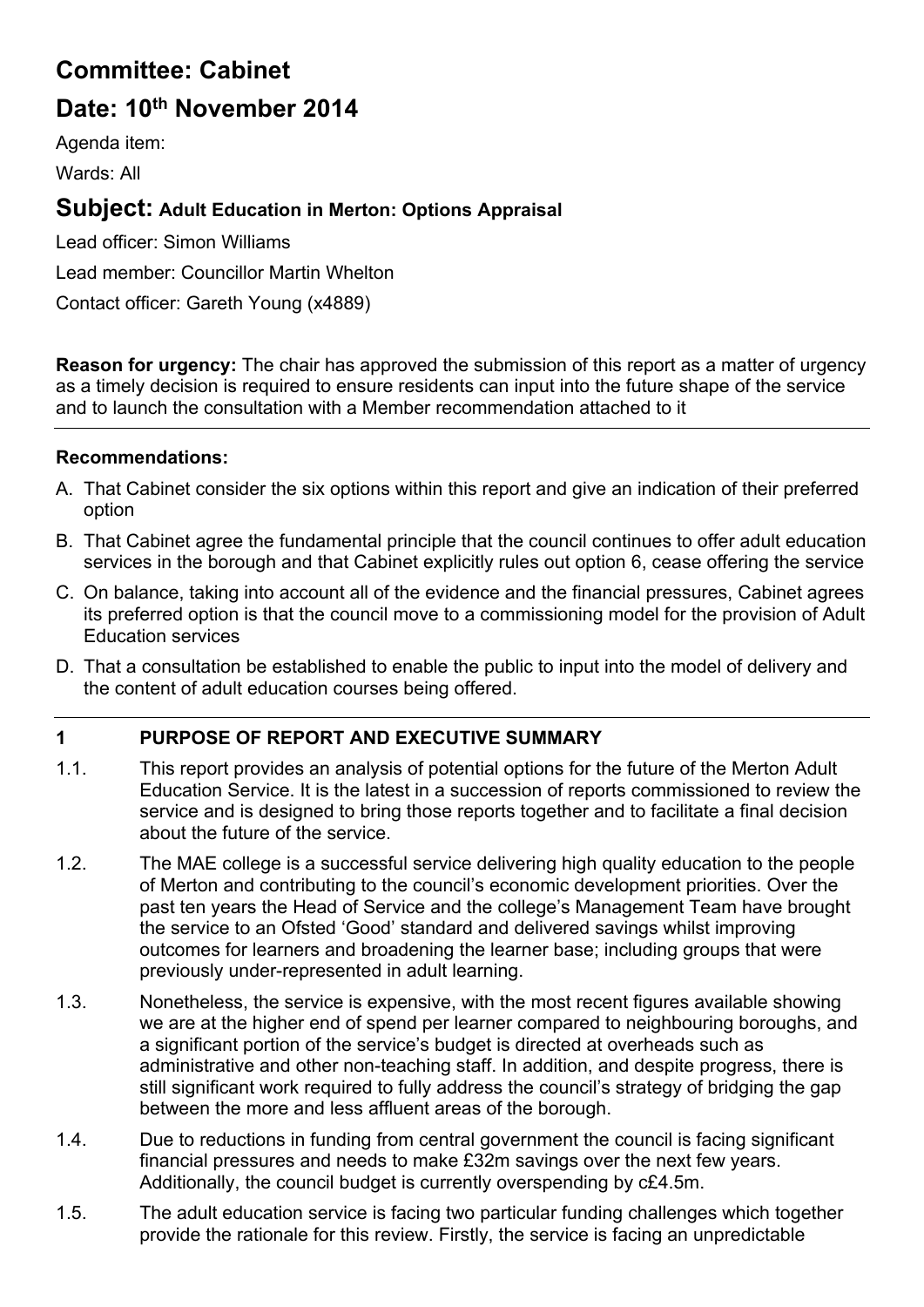# **Committee: Cabinet**

# **Date: 10th November 2014**

Agenda item:

Wards: All

# **Subject: Adult Education in Merton: Options Appraisal**

Lead officer: Simon Williams Lead member: Councillor Martin Whelton Contact officer: Gareth Young (x4889)

**Reason for urgency:** The chair has approved the submission of this report as a matter of urgency as a timely decision is required to ensure residents can input into the future shape of the service and to launch the consultation with a Member recommendation attached to it

# **Recommendations:**

- A. That Cabinet consider the six options within this report and give an indication of their preferred option
- B. That Cabinet agree the fundamental principle that the council continues to offer adult education services in the borough and that Cabinet explicitly rules out option 6, cease offering the service
- C. On balance, taking into account all of the evidence and the financial pressures, Cabinet agrees its preferred option is that the council move to a commissioning model for the provision of Adult Education services
- D. That a consultation be established to enable the public to input into the model of delivery and the content of adult education courses being offered.

# **1 PURPOSE OF REPORT AND EXECUTIVE SUMMARY**

- 1.1. This report provides an analysis of potential options for the future of the Merton Adult Education Service. It is the latest in a succession of reports commissioned to review the service and is designed to bring those reports together and to facilitate a final decision about the future of the service.
- 1.2. The MAE college is a successful service delivering high quality education to the people of Merton and contributing to the council's economic development priorities. Over the past ten years the Head of Service and the college's Management Team have brought the service to an Ofsted 'Good' standard and delivered savings whilst improving outcomes for learners and broadening the learner base; including groups that were previously under-represented in adult learning.
- 1.3. Nonetheless, the service is expensive, with the most recent figures available showing we are at the higher end of spend per learner compared to neighbouring boroughs, and a significant portion of the service's budget is directed at overheads such as administrative and other non-teaching staff. In addition, and despite progress, there is still significant work required to fully address the council's strategy of bridging the gap between the more and less affluent areas of the borough.
- 1.4. Due to reductions in funding from central government the council is facing significant financial pressures and needs to make £32m savings over the next few years. Additionally, the council budget is currently overspending by c£4.5m.
- 1.5. The adult education service is facing two particular funding challenges which together provide the rationale for this review. Firstly, the service is facing an unpredictable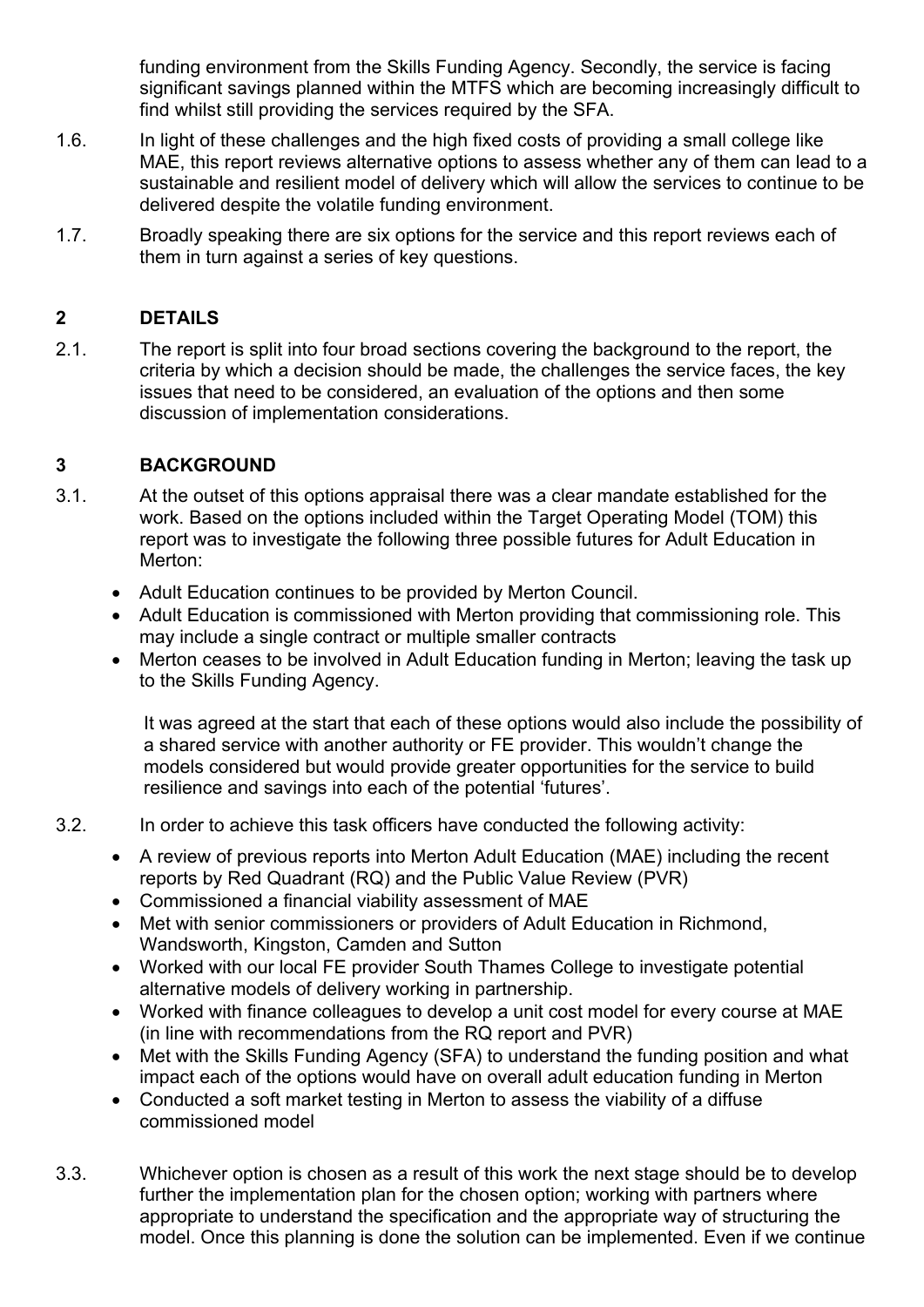funding environment from the Skills Funding Agency. Secondly, the service is facing significant savings planned within the MTFS which are becoming increasingly difficult to find whilst still providing the services required by the SFA.

- 1.6. In light of these challenges and the high fixed costs of providing a small college like MAE, this report reviews alternative options to assess whether any of them can lead to a sustainable and resilient model of delivery which will allow the services to continue to be delivered despite the volatile funding environment.
- 1.7. Broadly speaking there are six options for the service and this report reviews each of them in turn against a series of key questions.

# **2 DETAILS**

2.1. The report is split into four broad sections covering the background to the report, the criteria by which a decision should be made, the challenges the service faces, the key issues that need to be considered, an evaluation of the options and then some discussion of implementation considerations.

## **3 BACKGROUND**

- 3.1. At the outset of this options appraisal there was a clear mandate established for the work. Based on the options included within the Target Operating Model (TOM) this report was to investigate the following three possible futures for Adult Education in Merton:
	- Adult Education continues to be provided by Merton Council.
	- Adult Education is commissioned with Merton providing that commissioning role. This may include a single contract or multiple smaller contracts
	- Merton ceases to be involved in Adult Education funding in Merton; leaving the task up to the Skills Funding Agency.

It was agreed at the start that each of these options would also include the possibility of a shared service with another authority or FE provider. This wouldn't change the models considered but would provide greater opportunities for the service to build resilience and savings into each of the potential 'futures'.

- 3.2. In order to achieve this task officers have conducted the following activity:
	- A review of previous reports into Merton Adult Education (MAE) including the recent reports by Red Quadrant (RQ) and the Public Value Review (PVR)
	- Commissioned a financial viability assessment of MAE
	- Met with senior commissioners or providers of Adult Education in Richmond, Wandsworth, Kingston, Camden and Sutton
	- Worked with our local FE provider South Thames College to investigate potential alternative models of delivery working in partnership.
	- Worked with finance colleagues to develop a unit cost model for every course at MAE (in line with recommendations from the RQ report and PVR)
	- Met with the Skills Funding Agency (SFA) to understand the funding position and what impact each of the options would have on overall adult education funding in Merton
	- Conducted a soft market testing in Merton to assess the viability of a diffuse commissioned model
- 3.3. Whichever option is chosen as a result of this work the next stage should be to develop further the implementation plan for the chosen option; working with partners where appropriate to understand the specification and the appropriate way of structuring the model. Once this planning is done the solution can be implemented. Even if we continue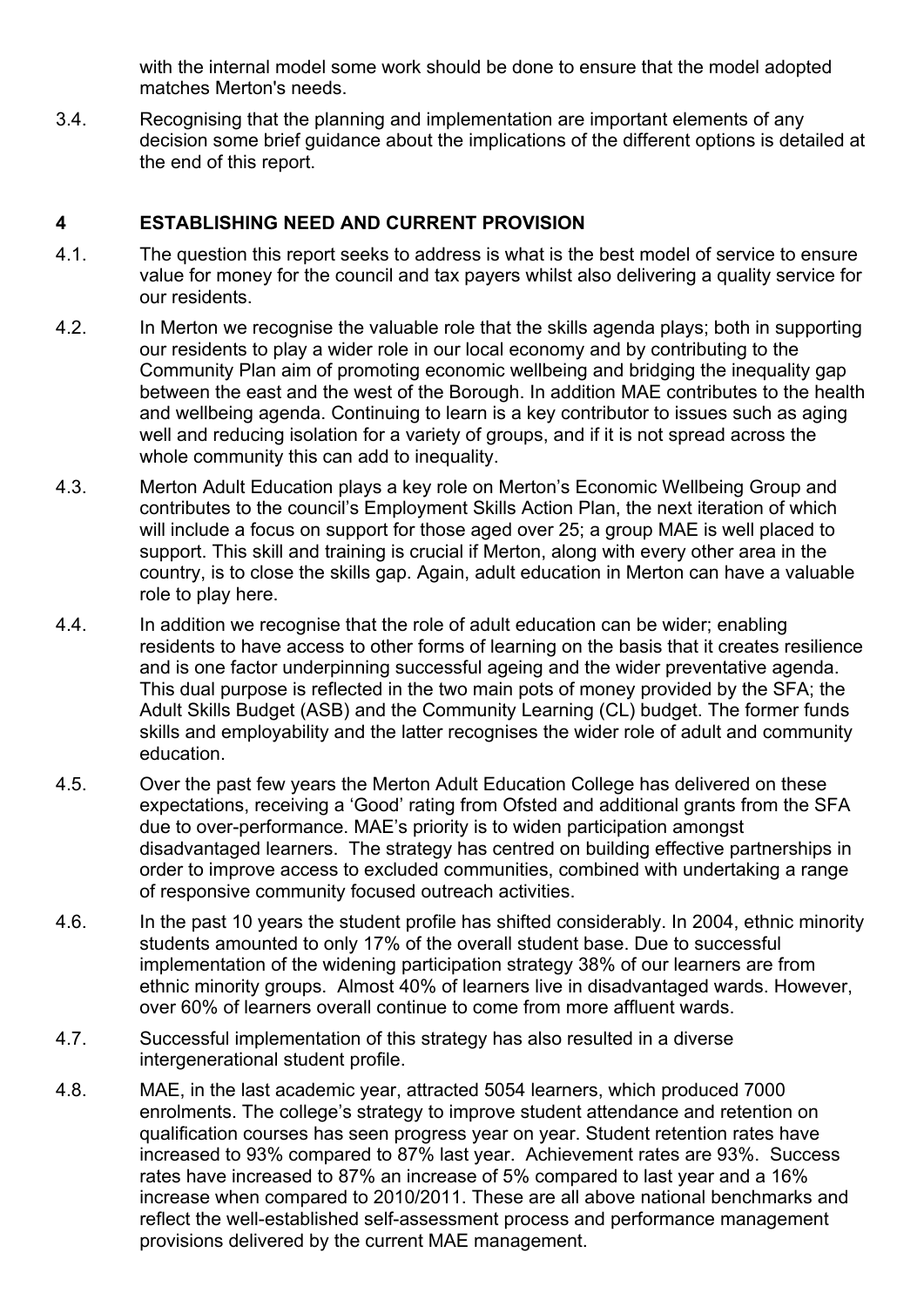with the internal model some work should be done to ensure that the model adopted matches Merton's needs.

3.4. Recognising that the planning and implementation are important elements of any decision some brief guidance about the implications of the different options is detailed at the end of this report.

#### **4 ESTABLISHING NEED AND CURRENT PROVISION**

- 4.1. The question this report seeks to address is what is the best model of service to ensure value for money for the council and tax payers whilst also delivering a quality service for our residents.
- 4.2. In Merton we recognise the valuable role that the skills agenda plays; both in supporting our residents to play a wider role in our local economy and by contributing to the Community Plan aim of promoting economic wellbeing and bridging the inequality gap between the east and the west of the Borough. In addition MAE contributes to the health and wellbeing agenda. Continuing to learn is a key contributor to issues such as aging well and reducing isolation for a variety of groups, and if it is not spread across the whole community this can add to inequality.
- 4.3. Merton Adult Education plays a key role on Merton's Economic Wellbeing Group and contributes to the council's Employment Skills Action Plan, the next iteration of which will include a focus on support for those aged over 25; a group MAE is well placed to support. This skill and training is crucial if Merton, along with every other area in the country, is to close the skills gap. Again, adult education in Merton can have a valuable role to play here.
- 4.4. In addition we recognise that the role of adult education can be wider; enabling residents to have access to other forms of learning on the basis that it creates resilience and is one factor underpinning successful ageing and the wider preventative agenda. This dual purpose is reflected in the two main pots of money provided by the SFA; the Adult Skills Budget (ASB) and the Community Learning (CL) budget. The former funds skills and employability and the latter recognises the wider role of adult and community education.
- 4.5. Over the past few years the Merton Adult Education College has delivered on these expectations, receiving a 'Good' rating from Ofsted and additional grants from the SFA due to over-performance. MAE's priority is to widen participation amongst disadvantaged learners. The strategy has centred on building effective partnerships in order to improve access to excluded communities, combined with undertaking a range of responsive community focused outreach activities.
- 4.6. In the past 10 years the student profile has shifted considerably. In 2004, ethnic minority students amounted to only 17% of the overall student base. Due to successful implementation of the widening participation strategy 38% of our learners are from ethnic minority groups. Almost 40% of learners live in disadvantaged wards. However, over 60% of learners overall continue to come from more affluent wards.
- 4.7. Successful implementation of this strategy has also resulted in a diverse intergenerational student profile.
- 4.8. MAE, in the last academic year, attracted 5054 learners, which produced 7000 enrolments. The college's strategy to improve student attendance and retention on qualification courses has seen progress year on year. Student retention rates have increased to 93% compared to 87% last year. Achievement rates are 93%. Success rates have increased to 87% an increase of 5% compared to last year and a 16% increase when compared to 2010/2011. These are all above national benchmarks and reflect the well-established self-assessment process and performance management provisions delivered by the current MAE management.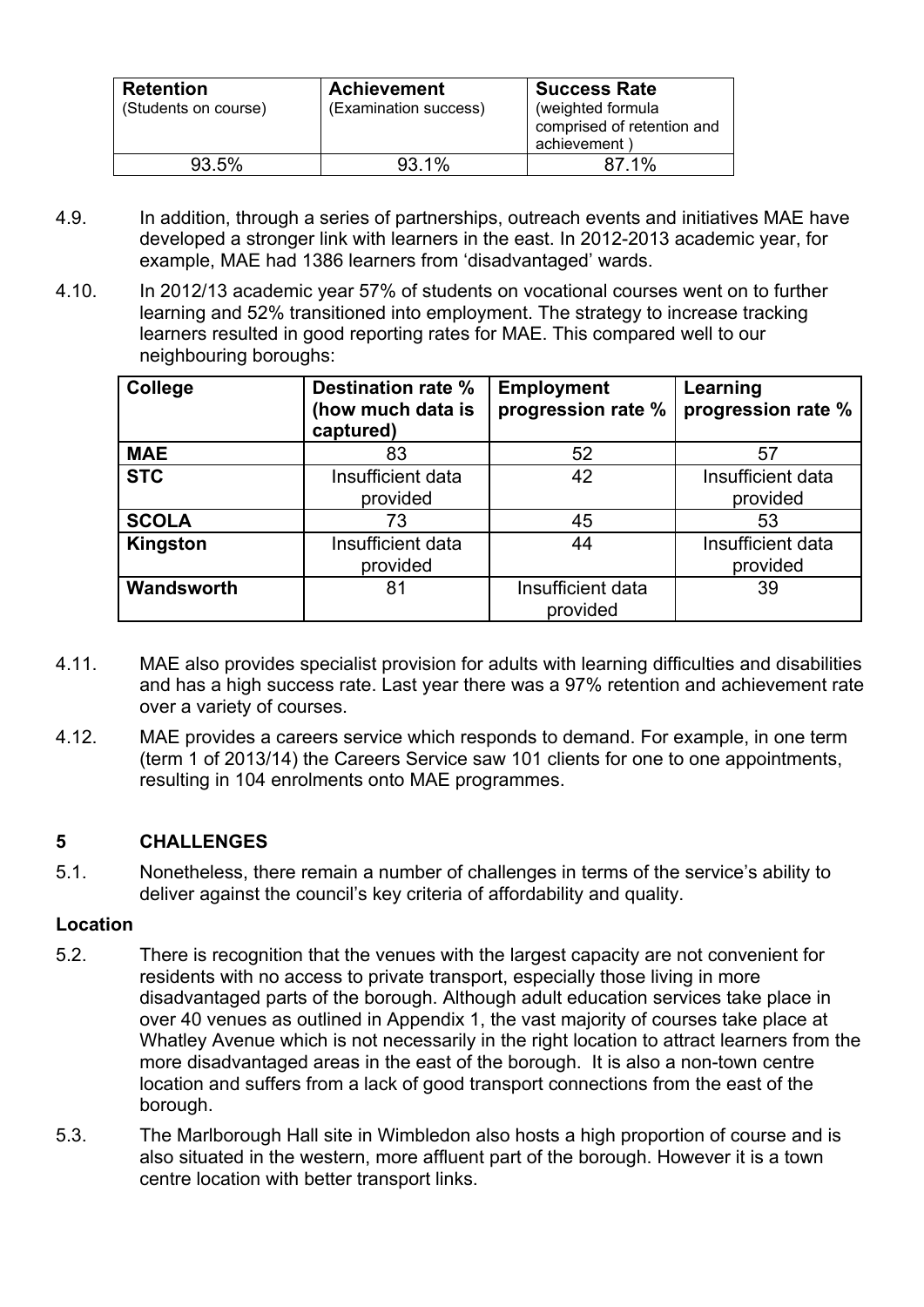| <b>Retention</b><br>(Students on course) | <b>Achievement</b><br>(Examination success) | <b>Success Rate</b><br>(weighted formula<br>comprised of retention and<br>achievement) |
|------------------------------------------|---------------------------------------------|----------------------------------------------------------------------------------------|
| 93.5%                                    | 93.1%                                       | 87.1%                                                                                  |

- 4.9. In addition, through a series of partnerships, outreach events and initiatives MAE have developed a stronger link with learners in the east. In 2012-2013 academic year, for example, MAE had 1386 learners from 'disadvantaged' wards.
- 4.10. In 2012/13 academic year 57% of students on vocational courses went on to further learning and 52% transitioned into employment. The strategy to increase tracking learners resulted in good reporting rates for MAE. This compared well to our neighbouring boroughs:

| College      | Destination rate %<br>(how much data is<br>captured) | <b>Employment</b><br>progression rate % | Learning<br>progression rate % |
|--------------|------------------------------------------------------|-----------------------------------------|--------------------------------|
| <b>MAE</b>   | 83                                                   | 52                                      | 57                             |
| <b>STC</b>   | Insufficient data<br>provided                        | 42                                      | Insufficient data<br>provided  |
| <b>SCOLA</b> | 73                                                   | 45                                      | 53                             |
| Kingston     | Insufficient data<br>provided                        | 44                                      | Insufficient data<br>provided  |
| Wandsworth   | 81                                                   | Insufficient data<br>provided           | 39                             |

- 4.11. MAE also provides specialist provision for adults with learning difficulties and disabilities and has a high success rate. Last year there was a 97% retention and achievement rate over a variety of courses.
- 4.12. MAE provides a careers service which responds to demand. For example, in one term (term 1 of 2013/14) the Careers Service saw 101 clients for one to one appointments, resulting in 104 enrolments onto MAE programmes.

#### **5 CHALLENGES**

5.1. Nonetheless, there remain a number of challenges in terms of the service's ability to deliver against the council's key criteria of affordability and quality.

#### **Location**

- 5.2. There is recognition that the venues with the largest capacity are not convenient for residents with no access to private transport, especially those living in more disadvantaged parts of the borough. Although adult education services take place in over 40 venues as outlined in Appendix 1, the vast majority of courses take place at Whatley Avenue which is not necessarily in the right location to attract learners from the more disadvantaged areas in the east of the borough. It is also a non-town centre location and suffers from a lack of good transport connections from the east of the borough.
- 5.3. The Marlborough Hall site in Wimbledon also hosts a high proportion of course and is also situated in the western, more affluent part of the borough. However it is a town centre location with better transport links.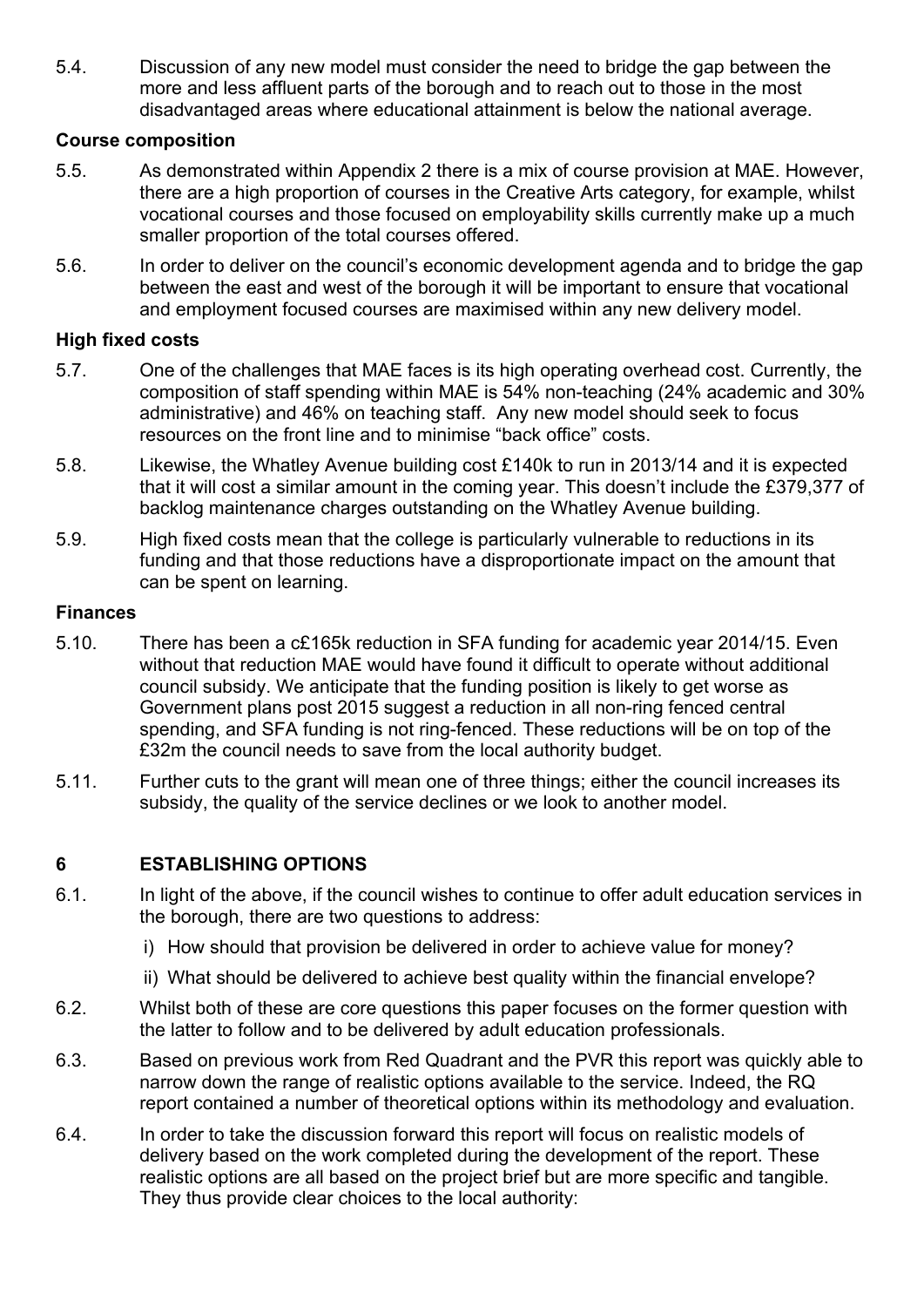5.4. Discussion of any new model must consider the need to bridge the gap between the more and less affluent parts of the borough and to reach out to those in the most disadvantaged areas where educational attainment is below the national average.

#### **Course composition**

- 5.5. As demonstrated within Appendix 2 there is a mix of course provision at MAE. However, there are a high proportion of courses in the Creative Arts category, for example, whilst vocational courses and those focused on employability skills currently make up a much smaller proportion of the total courses offered.
- 5.6. In order to deliver on the council's economic development agenda and to bridge the gap between the east and west of the borough it will be important to ensure that vocational and employment focused courses are maximised within any new delivery model.

#### **High fixed costs**

- 5.7. One of the challenges that MAE faces is its high operating overhead cost. Currently, the composition of staff spending within MAE is 54% non-teaching (24% academic and 30% administrative) and 46% on teaching staff. Any new model should seek to focus resources on the front line and to minimise "back office" costs.
- 5.8. Likewise, the Whatley Avenue building cost £140k to run in 2013/14 and it is expected that it will cost a similar amount in the coming year. This doesn't include the £379,377 of backlog maintenance charges outstanding on the Whatley Avenue building.
- 5.9. High fixed costs mean that the college is particularly vulnerable to reductions in its funding and that those reductions have a disproportionate impact on the amount that can be spent on learning.

#### **Finances**

- 5.10. There has been a c£165k reduction in SFA funding for academic year 2014/15. Even without that reduction MAE would have found it difficult to operate without additional council subsidy. We anticipate that the funding position is likely to get worse as Government plans post 2015 suggest a reduction in all non-ring fenced central spending, and SFA funding is not ring-fenced. These reductions will be on top of the £32m the council needs to save from the local authority budget.
- 5.11. Further cuts to the grant will mean one of three things; either the council increases its subsidy, the quality of the service declines or we look to another model.

#### **6 ESTABLISHING OPTIONS**

- 6.1. In light of the above, if the council wishes to continue to offer adult education services in the borough, there are two questions to address:
	- i) How should that provision be delivered in order to achieve value for money?
	- ii) What should be delivered to achieve best quality within the financial envelope?
- 6.2. Whilst both of these are core questions this paper focuses on the former question with the latter to follow and to be delivered by adult education professionals.
- 6.3. Based on previous work from Red Quadrant and the PVR this report was quickly able to narrow down the range of realistic options available to the service. Indeed, the RQ report contained a number of theoretical options within its methodology and evaluation.
- 6.4. In order to take the discussion forward this report will focus on realistic models of delivery based on the work completed during the development of the report. These realistic options are all based on the project brief but are more specific and tangible. They thus provide clear choices to the local authority: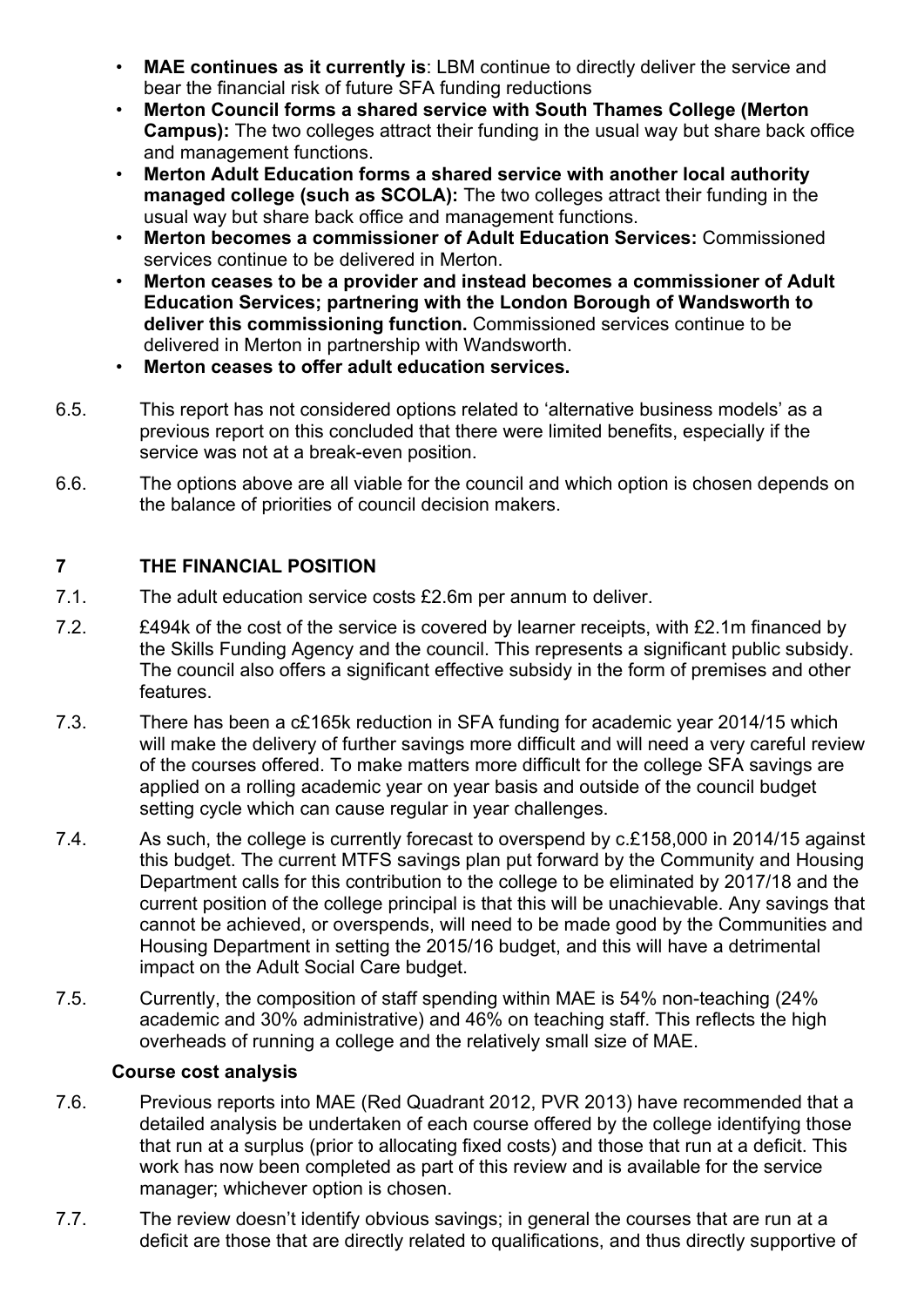- **MAE continues as it currently is**: LBM continue to directly deliver the service and bear the financial risk of future SFA funding reductions
- **Merton Council forms a shared service with South Thames College (Merton Campus):** The two colleges attract their funding in the usual way but share back office and management functions.
- **Merton Adult Education forms a shared service with another local authority managed college (such as SCOLA):** The two colleges attract their funding in the usual way but share back office and management functions.
- **Merton becomes a commissioner of Adult Education Services:** Commissioned services continue to be delivered in Merton.
- **Merton ceases to be a provider and instead becomes a commissioner of Adult Education Services; partnering with the London Borough of Wandsworth to deliver this commissioning function.** Commissioned services continue to be delivered in Merton in partnership with Wandsworth.
- **Merton ceases to offer adult education services.**
- 6.5. This report has not considered options related to 'alternative business models' as a previous report on this concluded that there were limited benefits, especially if the service was not at a break-even position.
- 6.6. The options above are all viable for the council and which option is chosen depends on the balance of priorities of council decision makers.

## **7 THE FINANCIAL POSITION**

- 7.1. The adult education service costs £2.6m per annum to deliver.
- 7.2. £494k of the cost of the service is covered by learner receipts, with £2.1m financed by the Skills Funding Agency and the council. This represents a significant public subsidy. The council also offers a significant effective subsidy in the form of premises and other features.
- 7.3. There has been a c£165k reduction in SFA funding for academic year 2014/15 which will make the delivery of further savings more difficult and will need a very careful review of the courses offered. To make matters more difficult for the college SFA savings are applied on a rolling academic year on year basis and outside of the council budget setting cycle which can cause regular in year challenges.
- 7.4. As such, the college is currently forecast to overspend by c.£158,000 in 2014/15 against this budget. The current MTFS savings plan put forward by the Community and Housing Department calls for this contribution to the college to be eliminated by 2017/18 and the current position of the college principal is that this will be unachievable. Any savings that cannot be achieved, or overspends, will need to be made good by the Communities and Housing Department in setting the 2015/16 budget, and this will have a detrimental impact on the Adult Social Care budget.
- 7.5. Currently, the composition of staff spending within MAE is 54% non-teaching (24% academic and 30% administrative) and 46% on teaching staff. This reflects the high overheads of running a college and the relatively small size of MAE.

#### **Course cost analysis**

- 7.6. Previous reports into MAE (Red Quadrant 2012, PVR 2013) have recommended that a detailed analysis be undertaken of each course offered by the college identifying those that run at a surplus (prior to allocating fixed costs) and those that run at a deficit. This work has now been completed as part of this review and is available for the service manager; whichever option is chosen.
- 7.7. The review doesn't identify obvious savings; in general the courses that are run at a deficit are those that are directly related to qualifications, and thus directly supportive of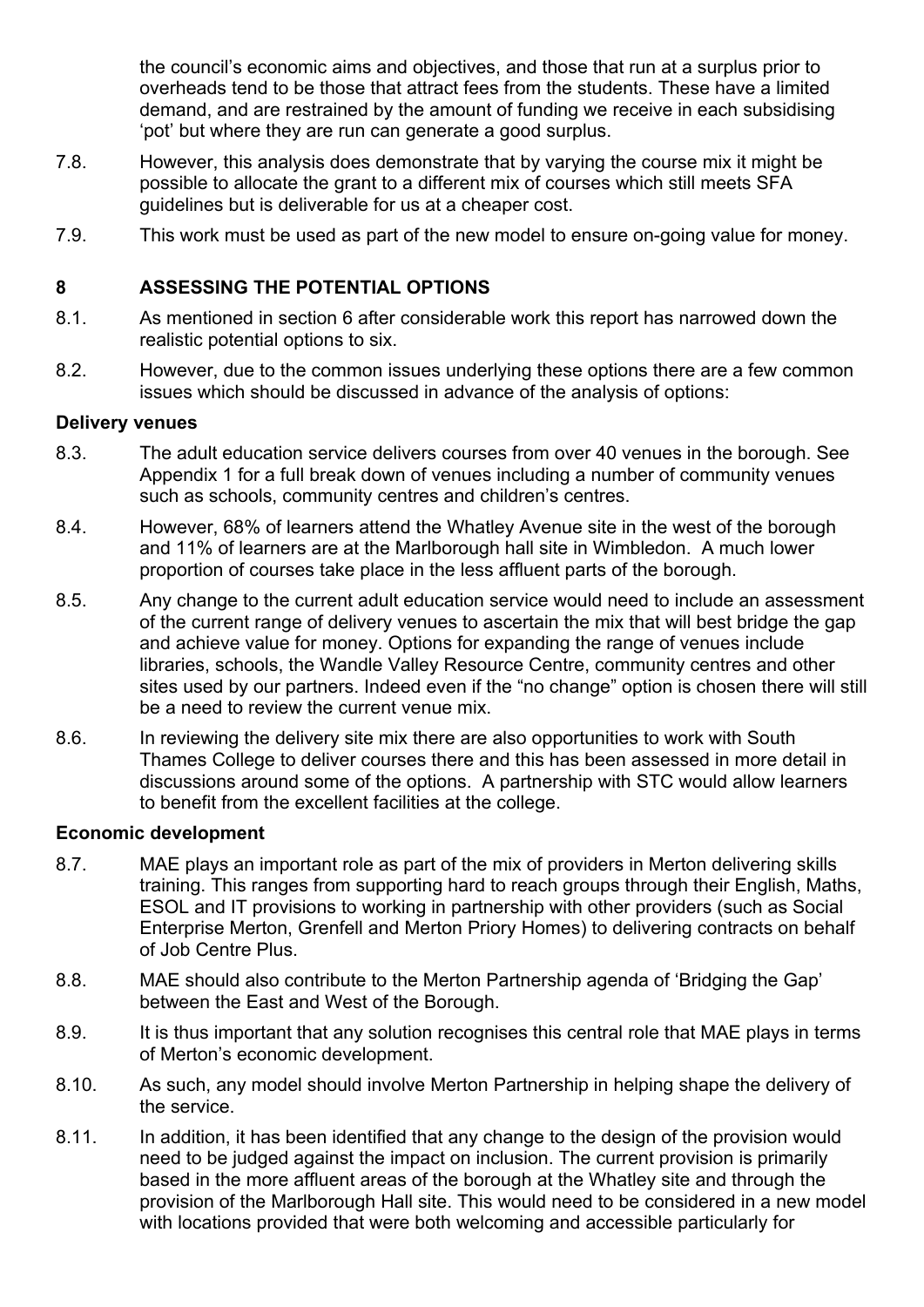the council's economic aims and objectives, and those that run at a surplus prior to overheads tend to be those that attract fees from the students. These have a limited demand, and are restrained by the amount of funding we receive in each subsidising 'pot' but where they are run can generate a good surplus.

- 7.8. However, this analysis does demonstrate that by varying the course mix it might be possible to allocate the grant to a different mix of courses which still meets SFA guidelines but is deliverable for us at a cheaper cost.
- 7.9. This work must be used as part of the new model to ensure on-going value for money.

#### **8 ASSESSING THE POTENTIAL OPTIONS**

- 8.1. As mentioned in section 6 after considerable work this report has narrowed down the realistic potential options to six.
- 8.2. However, due to the common issues underlying these options there are a few common issues which should be discussed in advance of the analysis of options:

#### **Delivery venues**

- 8.3. The adult education service delivers courses from over 40 venues in the borough. See Appendix 1 for a full break down of venues including a number of community venues such as schools, community centres and children's centres.
- 8.4. However, 68% of learners attend the Whatley Avenue site in the west of the borough and 11% of learners are at the Marlborough hall site in Wimbledon. A much lower proportion of courses take place in the less affluent parts of the borough.
- 8.5. Any change to the current adult education service would need to include an assessment of the current range of delivery venues to ascertain the mix that will best bridge the gap and achieve value for money. Options for expanding the range of venues include libraries, schools, the Wandle Valley Resource Centre, community centres and other sites used by our partners. Indeed even if the "no change" option is chosen there will still be a need to review the current venue mix.
- 8.6. In reviewing the delivery site mix there are also opportunities to work with South Thames College to deliver courses there and this has been assessed in more detail in discussions around some of the options. A partnership with STC would allow learners to benefit from the excellent facilities at the college.

#### **Economic development**

- 8.7. MAE plays an important role as part of the mix of providers in Merton delivering skills training. This ranges from supporting hard to reach groups through their English, Maths, ESOL and IT provisions to working in partnership with other providers (such as Social Enterprise Merton, Grenfell and Merton Priory Homes) to delivering contracts on behalf of Job Centre Plus.
- 8.8. MAE should also contribute to the Merton Partnership agenda of 'Bridging the Gap' between the East and West of the Borough.
- 8.9. It is thus important that any solution recognises this central role that MAE plays in terms of Merton's economic development.
- 8.10. As such, any model should involve Merton Partnership in helping shape the delivery of the service.
- 8.11. In addition, it has been identified that any change to the design of the provision would need to be judged against the impact on inclusion. The current provision is primarily based in the more affluent areas of the borough at the Whatley site and through the provision of the Marlborough Hall site. This would need to be considered in a new model with locations provided that were both welcoming and accessible particularly for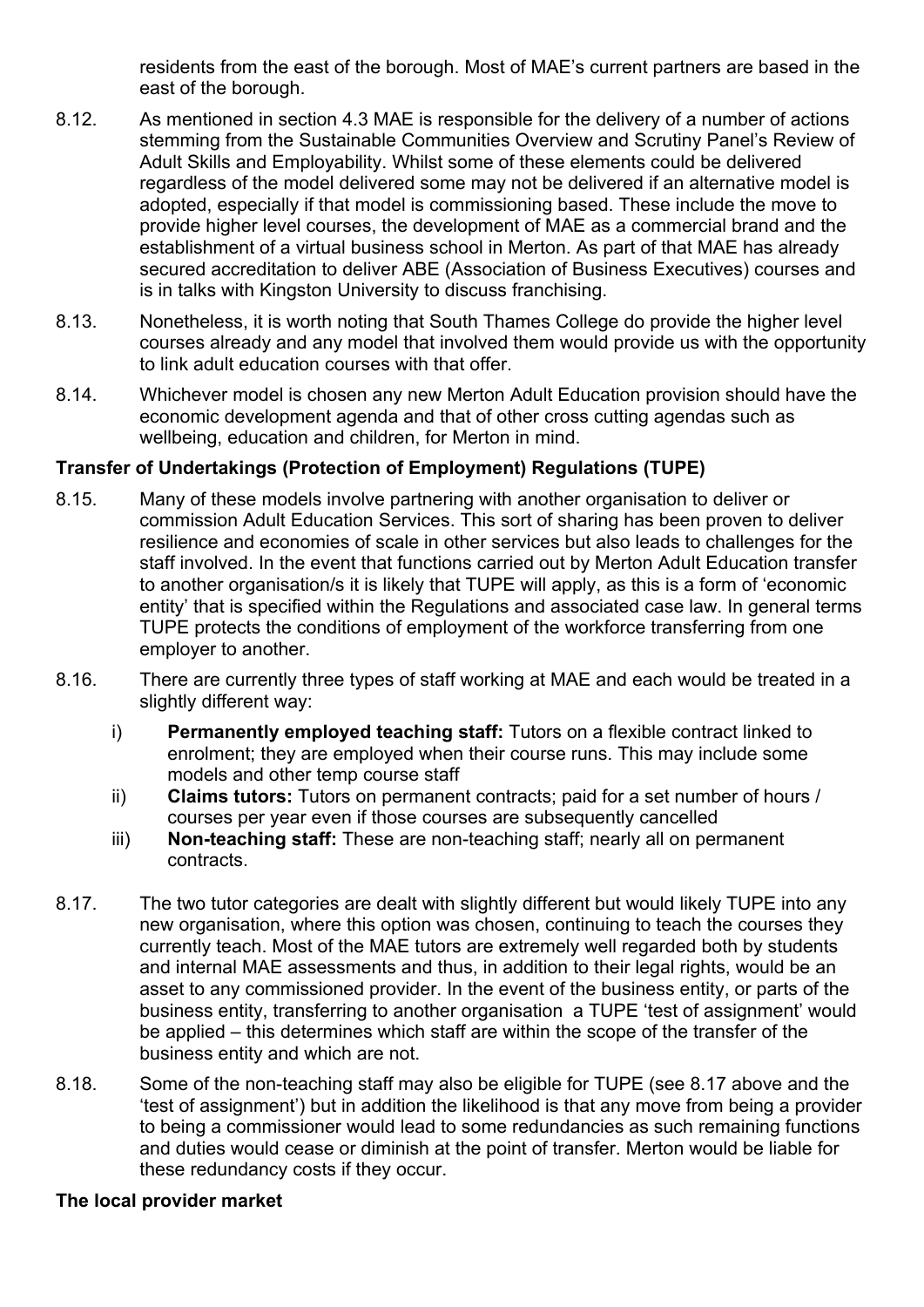residents from the east of the borough. Most of MAE's current partners are based in the east of the borough.

- 8.12. As mentioned in section 4.3 MAE is responsible for the delivery of a number of actions stemming from the Sustainable Communities Overview and Scrutiny Panel's Review of Adult Skills and Employability. Whilst some of these elements could be delivered regardless of the model delivered some may not be delivered if an alternative model is adopted, especially if that model is commissioning based. These include the move to provide higher level courses, the development of MAE as a commercial brand and the establishment of a virtual business school in Merton. As part of that MAE has already secured accreditation to deliver ABE (Association of Business Executives) courses and is in talks with Kingston University to discuss franchising.
- 8.13. Nonetheless, it is worth noting that South Thames College do provide the higher level courses already and any model that involved them would provide us with the opportunity to link adult education courses with that offer.
- 8.14. Whichever model is chosen any new Merton Adult Education provision should have the economic development agenda and that of other cross cutting agendas such as wellbeing, education and children, for Merton in mind.

#### **Transfer of Undertakings (Protection of Employment) Regulations (TUPE)**

- 8.15. Many of these models involve partnering with another organisation to deliver or commission Adult Education Services. This sort of sharing has been proven to deliver resilience and economies of scale in other services but also leads to challenges for the staff involved. In the event that functions carried out by Merton Adult Education transfer to another organisation/s it is likely that TUPE will apply, as this is a form of 'economic entity' that is specified within the Regulations and associated case law. In general terms TUPE protects the conditions of employment of the workforce transferring from one employer to another.
- 8.16. There are currently three types of staff working at MAE and each would be treated in a slightly different way:
	- i) **Permanently employed teaching staff:** Tutors on a flexible contract linked to enrolment; they are employed when their course runs. This may include some models and other temp course staff
	- ii) **Claims tutors:** Tutors on permanent contracts; paid for a set number of hours / courses per year even if those courses are subsequently cancelled
	- iii) **Non-teaching staff:** These are non-teaching staff; nearly all on permanent contracts.
- 8.17. The two tutor categories are dealt with slightly different but would likely TUPE into any new organisation, where this option was chosen, continuing to teach the courses they currently teach. Most of the MAE tutors are extremely well regarded both by students and internal MAE assessments and thus, in addition to their legal rights, would be an asset to any commissioned provider. In the event of the business entity, or parts of the business entity, transferring to another organisation a TUPE 'test of assignment' would be applied – this determines which staff are within the scope of the transfer of the business entity and which are not.
- 8.18. Some of the non-teaching staff may also be eligible for TUPE (see 8.17 above and the 'test of assignment') but in addition the likelihood is that any move from being a provider to being a commissioner would lead to some redundancies as such remaining functions and duties would cease or diminish at the point of transfer. Merton would be liable for these redundancy costs if they occur.

#### **The local provider market**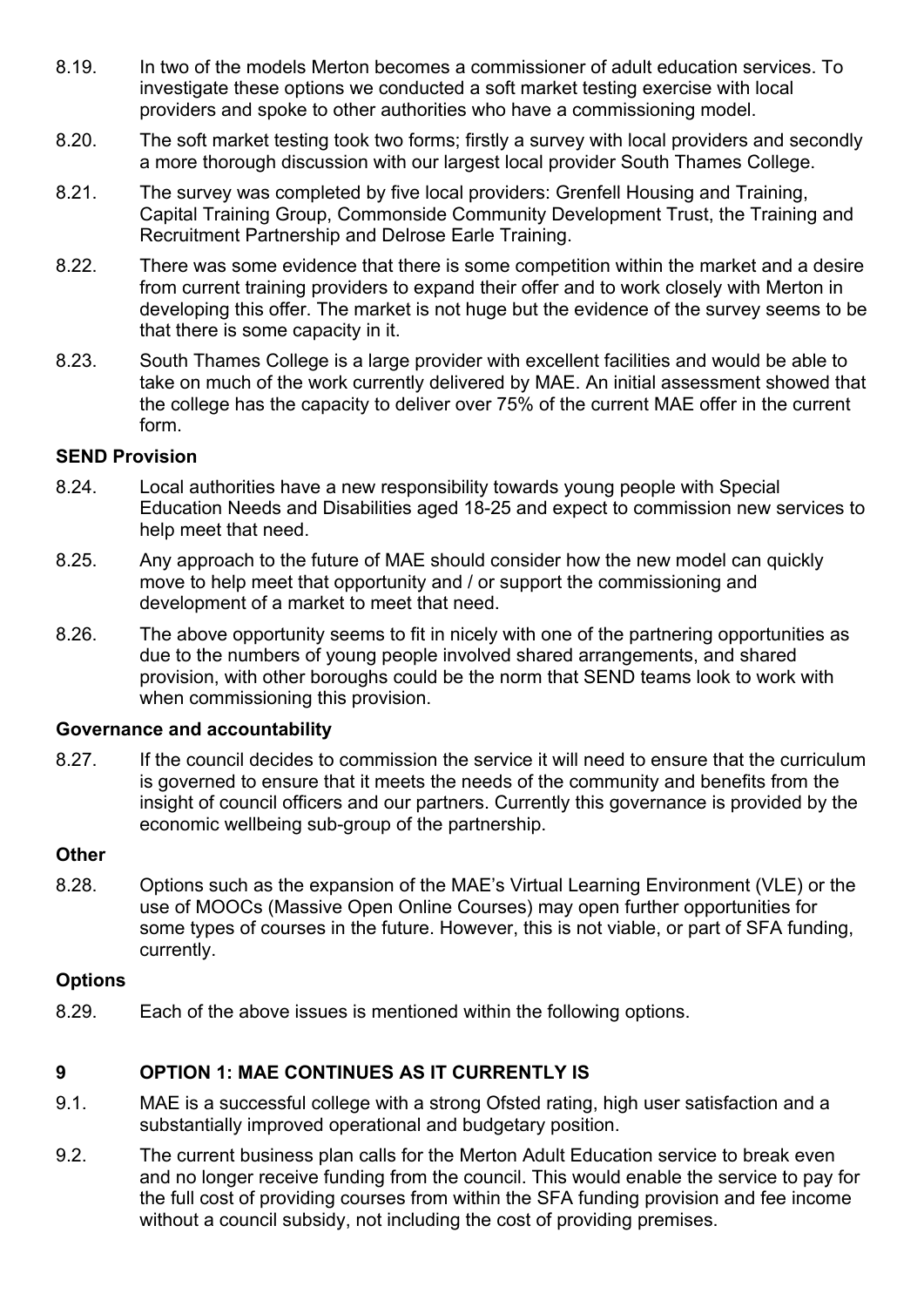- 8.19. In two of the models Merton becomes a commissioner of adult education services. To investigate these options we conducted a soft market testing exercise with local providers and spoke to other authorities who have a commissioning model.
- 8.20. The soft market testing took two forms; firstly a survey with local providers and secondly a more thorough discussion with our largest local provider South Thames College.
- 8.21. The survey was completed by five local providers: Grenfell Housing and Training, Capital Training Group, Commonside Community Development Trust, the Training and Recruitment Partnership and Delrose Earle Training.
- 8.22. There was some evidence that there is some competition within the market and a desire from current training providers to expand their offer and to work closely with Merton in developing this offer. The market is not huge but the evidence of the survey seems to be that there is some capacity in it.
- 8.23. South Thames College is a large provider with excellent facilities and would be able to take on much of the work currently delivered by MAE. An initial assessment showed that the college has the capacity to deliver over 75% of the current MAE offer in the current form.

#### **SEND Provision**

- 8.24. Local authorities have a new responsibility towards young people with Special Education Needs and Disabilities aged 18-25 and expect to commission new services to help meet that need.
- 8.25. Any approach to the future of MAE should consider how the new model can quickly move to help meet that opportunity and / or support the commissioning and development of a market to meet that need.
- 8.26. The above opportunity seems to fit in nicely with one of the partnering opportunities as due to the numbers of young people involved shared arrangements, and shared provision, with other boroughs could be the norm that SEND teams look to work with when commissioning this provision.

#### **Governance and accountability**

8.27. If the council decides to commission the service it will need to ensure that the curriculum is governed to ensure that it meets the needs of the community and benefits from the insight of council officers and our partners. Currently this governance is provided by the economic wellbeing sub-group of the partnership.

#### **Other**

8.28. Options such as the expansion of the MAE's Virtual Learning Environment (VLE) or the use of MOOCs (Massive Open Online Courses) may open further opportunities for some types of courses in the future. However, this is not viable, or part of SFA funding, currently.

#### **Options**

8.29. Each of the above issues is mentioned within the following options.

#### **9 OPTION 1: MAE CONTINUES AS IT CURRENTLY IS**

- 9.1. MAE is a successful college with a strong Ofsted rating, high user satisfaction and a substantially improved operational and budgetary position.
- 9.2. The current business plan calls for the Merton Adult Education service to break even and no longer receive funding from the council. This would enable the service to pay for the full cost of providing courses from within the SFA funding provision and fee income without a council subsidy, not including the cost of providing premises.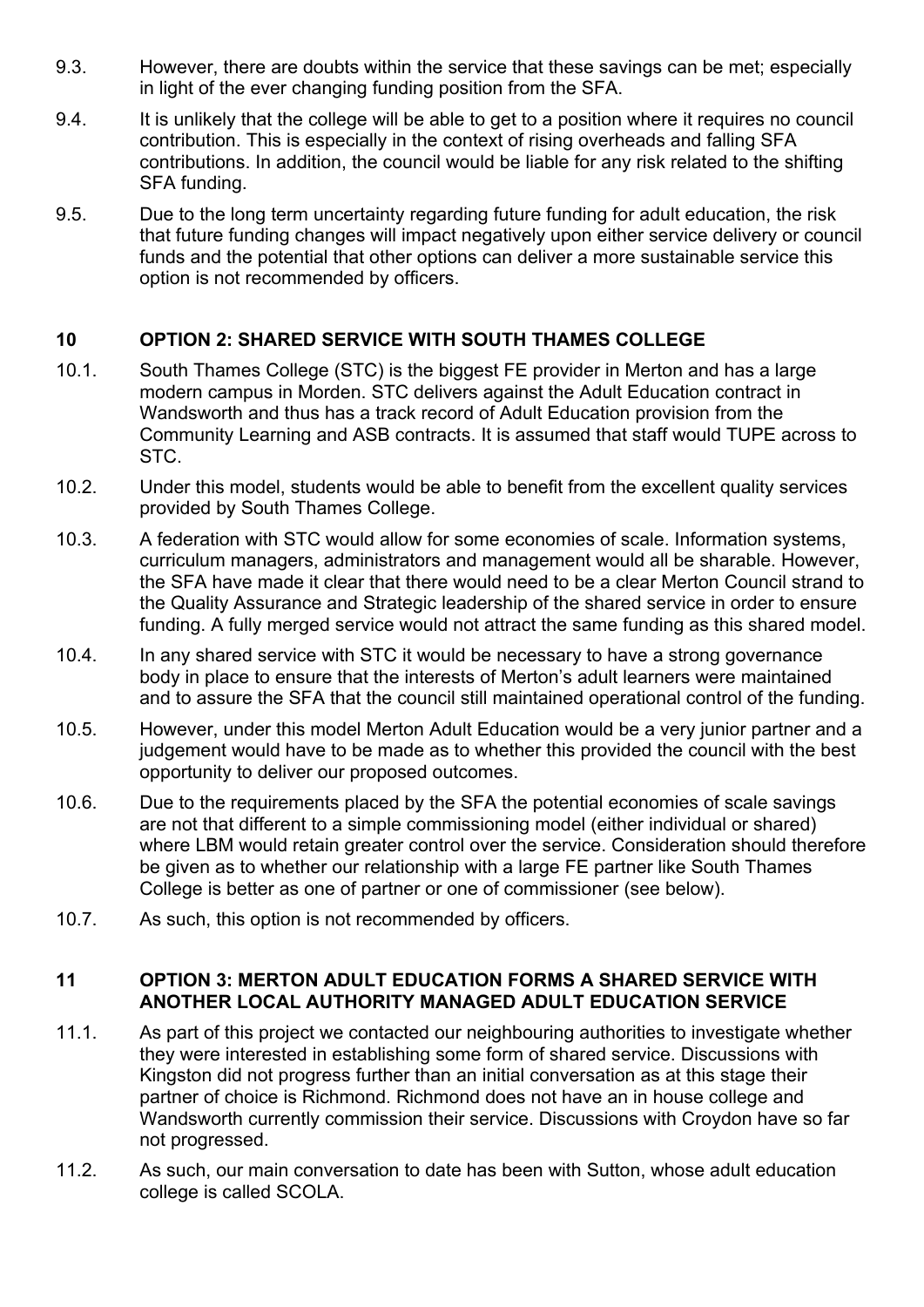- 9.3. However, there are doubts within the service that these savings can be met; especially in light of the ever changing funding position from the SFA.
- 9.4. It is unlikely that the college will be able to get to a position where it requires no council contribution. This is especially in the context of rising overheads and falling SFA contributions. In addition, the council would be liable for any risk related to the shifting SFA funding.
- 9.5. Due to the long term uncertainty regarding future funding for adult education, the risk that future funding changes will impact negatively upon either service delivery or council funds and the potential that other options can deliver a more sustainable service this option is not recommended by officers.

# **10 OPTION 2: SHARED SERVICE WITH SOUTH THAMES COLLEGE**

- 10.1. South Thames College (STC) is the biggest FE provider in Merton and has a large modern campus in Morden. STC delivers against the Adult Education contract in Wandsworth and thus has a track record of Adult Education provision from the Community Learning and ASB contracts. It is assumed that staff would TUPE across to STC.
- 10.2. Under this model, students would be able to benefit from the excellent quality services provided by South Thames College.
- 10.3. A federation with STC would allow for some economies of scale. Information systems, curriculum managers, administrators and management would all be sharable. However, the SFA have made it clear that there would need to be a clear Merton Council strand to the Quality Assurance and Strategic leadership of the shared service in order to ensure funding. A fully merged service would not attract the same funding as this shared model.
- 10.4. In any shared service with STC it would be necessary to have a strong governance body in place to ensure that the interests of Merton's adult learners were maintained and to assure the SFA that the council still maintained operational control of the funding.
- 10.5. However, under this model Merton Adult Education would be a very junior partner and a judgement would have to be made as to whether this provided the council with the best opportunity to deliver our proposed outcomes.
- 10.6. Due to the requirements placed by the SFA the potential economies of scale savings are not that different to a simple commissioning model (either individual or shared) where LBM would retain greater control over the service. Consideration should therefore be given as to whether our relationship with a large FE partner like South Thames College is better as one of partner or one of commissioner (see below).
- 10.7. As such, this option is not recommended by officers.

#### **11 OPTION 3: MERTON ADULT EDUCATION FORMS A SHARED SERVICE WITH ANOTHER LOCAL AUTHORITY MANAGED ADULT EDUCATION SERVICE**

- 11.1. As part of this project we contacted our neighbouring authorities to investigate whether they were interested in establishing some form of shared service. Discussions with Kingston did not progress further than an initial conversation as at this stage their partner of choice is Richmond. Richmond does not have an in house college and Wandsworth currently commission their service. Discussions with Croydon have so far not progressed.
- 11.2. As such, our main conversation to date has been with Sutton, whose adult education college is called SCOLA.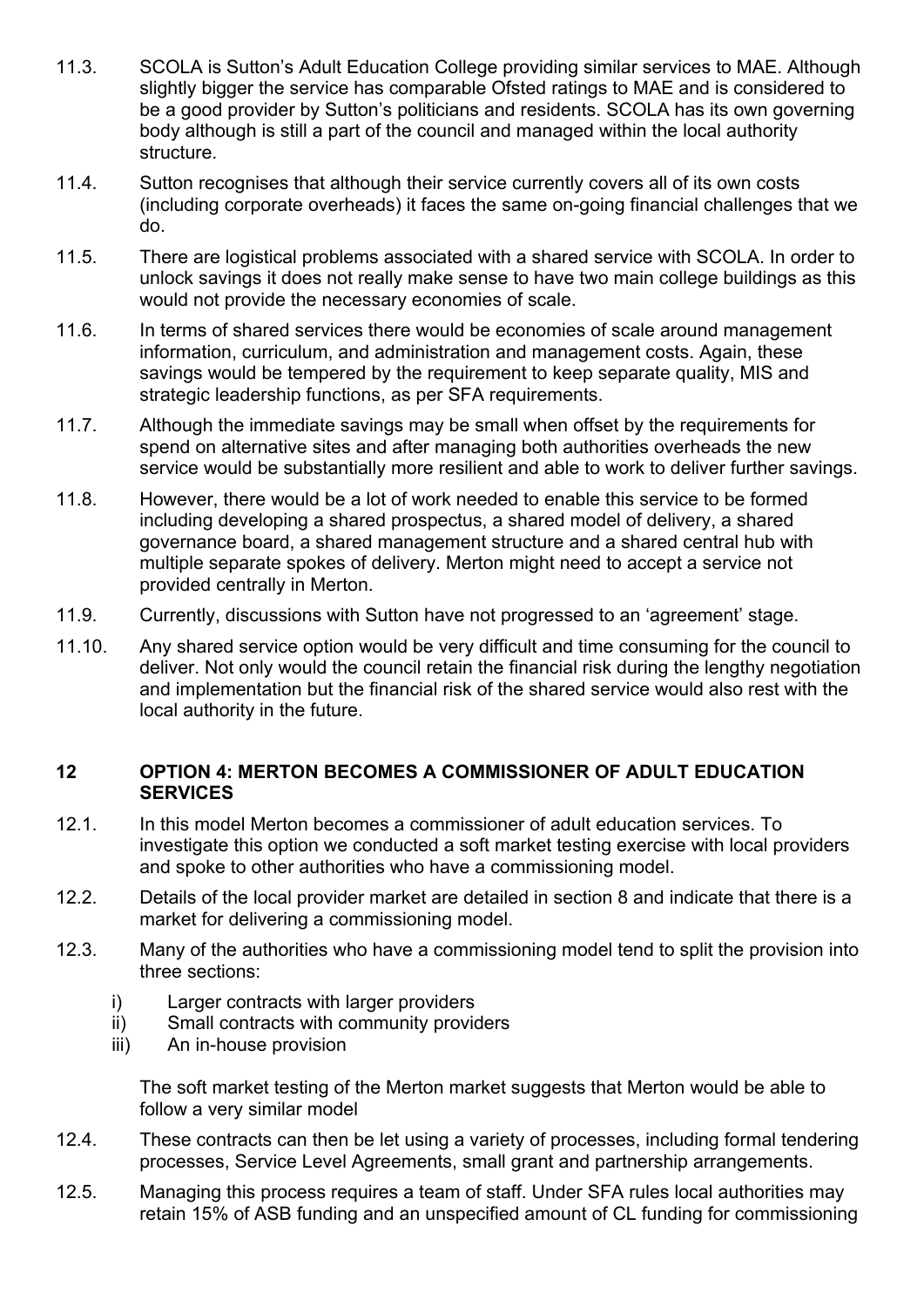- 11.3. SCOLA is Sutton's Adult Education College providing similar services to MAE. Although slightly bigger the service has comparable Ofsted ratings to MAE and is considered to be a good provider by Sutton's politicians and residents. SCOLA has its own governing body although is still a part of the council and managed within the local authority structure.
- 11.4. Sutton recognises that although their service currently covers all of its own costs (including corporate overheads) it faces the same on-going financial challenges that we do.
- 11.5. There are logistical problems associated with a shared service with SCOLA. In order to unlock savings it does not really make sense to have two main college buildings as this would not provide the necessary economies of scale.
- 11.6. In terms of shared services there would be economies of scale around management information, curriculum, and administration and management costs. Again, these savings would be tempered by the requirement to keep separate quality, MIS and strategic leadership functions, as per SFA requirements.
- 11.7. Although the immediate savings may be small when offset by the requirements for spend on alternative sites and after managing both authorities overheads the new service would be substantially more resilient and able to work to deliver further savings.
- 11.8. However, there would be a lot of work needed to enable this service to be formed including developing a shared prospectus, a shared model of delivery, a shared governance board, a shared management structure and a shared central hub with multiple separate spokes of delivery. Merton might need to accept a service not provided centrally in Merton.
- 11.9. Currently, discussions with Sutton have not progressed to an 'agreement' stage.
- 11.10. Any shared service option would be very difficult and time consuming for the council to deliver. Not only would the council retain the financial risk during the lengthy negotiation and implementation but the financial risk of the shared service would also rest with the local authority in the future.

#### **12 OPTION 4: MERTON BECOMES A COMMISSIONER OF ADULT EDUCATION SERVICES**

- 12.1. In this model Merton becomes a commissioner of adult education services. To investigate this option we conducted a soft market testing exercise with local providers and spoke to other authorities who have a commissioning model.
- 12.2. Details of the local provider market are detailed in section 8 and indicate that there is a market for delivering a commissioning model.
- 12.3. Many of the authorities who have a commissioning model tend to split the provision into three sections:
	- i) Larger contracts with larger providers
	- ii) Small contracts with community providers
	- iii) An in-house provision

The soft market testing of the Merton market suggests that Merton would be able to follow a very similar model

- 12.4. These contracts can then be let using a variety of processes, including formal tendering processes, Service Level Agreements, small grant and partnership arrangements.
- 12.5. Managing this process requires a team of staff. Under SFA rules local authorities may retain 15% of ASB funding and an unspecified amount of CL funding for commissioning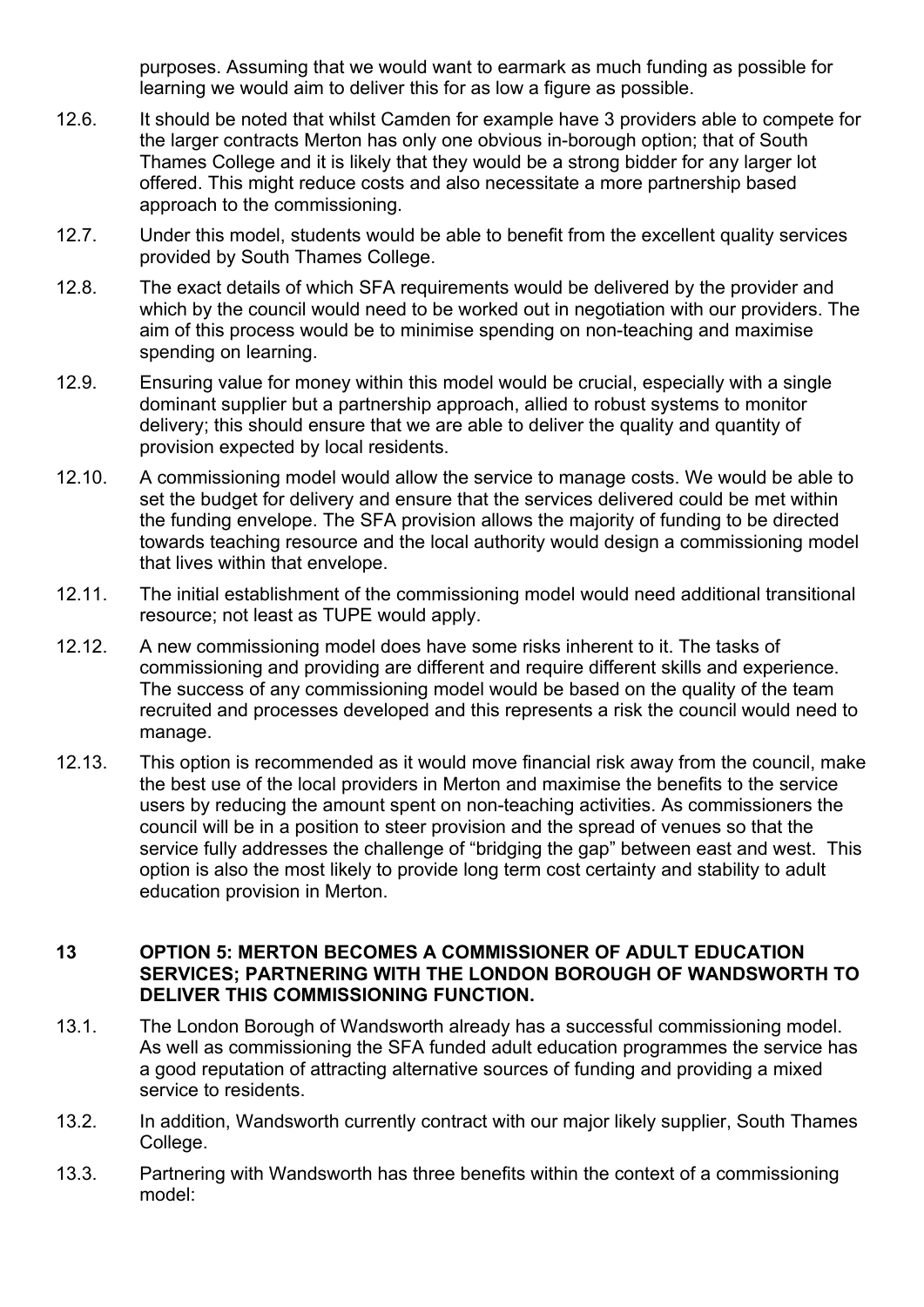purposes. Assuming that we would want to earmark as much funding as possible for learning we would aim to deliver this for as low a figure as possible.

- 12.6. It should be noted that whilst Camden for example have 3 providers able to compete for the larger contracts Merton has only one obvious in-borough option; that of South Thames College and it is likely that they would be a strong bidder for any larger lot offered. This might reduce costs and also necessitate a more partnership based approach to the commissioning.
- 12.7. Under this model, students would be able to benefit from the excellent quality services provided by South Thames College.
- 12.8. The exact details of which SFA requirements would be delivered by the provider and which by the council would need to be worked out in negotiation with our providers. The aim of this process would be to minimise spending on non-teaching and maximise spending on learning.
- 12.9. Ensuring value for money within this model would be crucial, especially with a single dominant supplier but a partnership approach, allied to robust systems to monitor delivery; this should ensure that we are able to deliver the quality and quantity of provision expected by local residents.
- 12.10. A commissioning model would allow the service to manage costs. We would be able to set the budget for delivery and ensure that the services delivered could be met within the funding envelope. The SFA provision allows the majority of funding to be directed towards teaching resource and the local authority would design a commissioning model that lives within that envelope.
- 12.11. The initial establishment of the commissioning model would need additional transitional resource; not least as TUPE would apply.
- 12.12. A new commissioning model does have some risks inherent to it. The tasks of commissioning and providing are different and require different skills and experience. The success of any commissioning model would be based on the quality of the team recruited and processes developed and this represents a risk the council would need to manage.
- 12.13. This option is recommended as it would move financial risk away from the council, make the best use of the local providers in Merton and maximise the benefits to the service users by reducing the amount spent on non-teaching activities. As commissioners the council will be in a position to steer provision and the spread of venues so that the service fully addresses the challenge of "bridging the gap" between east and west. This option is also the most likely to provide long term cost certainty and stability to adult education provision in Merton.

#### **13 OPTION 5: MERTON BECOMES A COMMISSIONER OF ADULT EDUCATION SERVICES; PARTNERING WITH THE LONDON BOROUGH OF WANDSWORTH TO DELIVER THIS COMMISSIONING FUNCTION.**

- 13.1. The London Borough of Wandsworth already has a successful commissioning model. As well as commissioning the SFA funded adult education programmes the service has a good reputation of attracting alternative sources of funding and providing a mixed service to residents.
- 13.2. In addition, Wandsworth currently contract with our major likely supplier, South Thames College.
- 13.3. Partnering with Wandsworth has three benefits within the context of a commissioning model: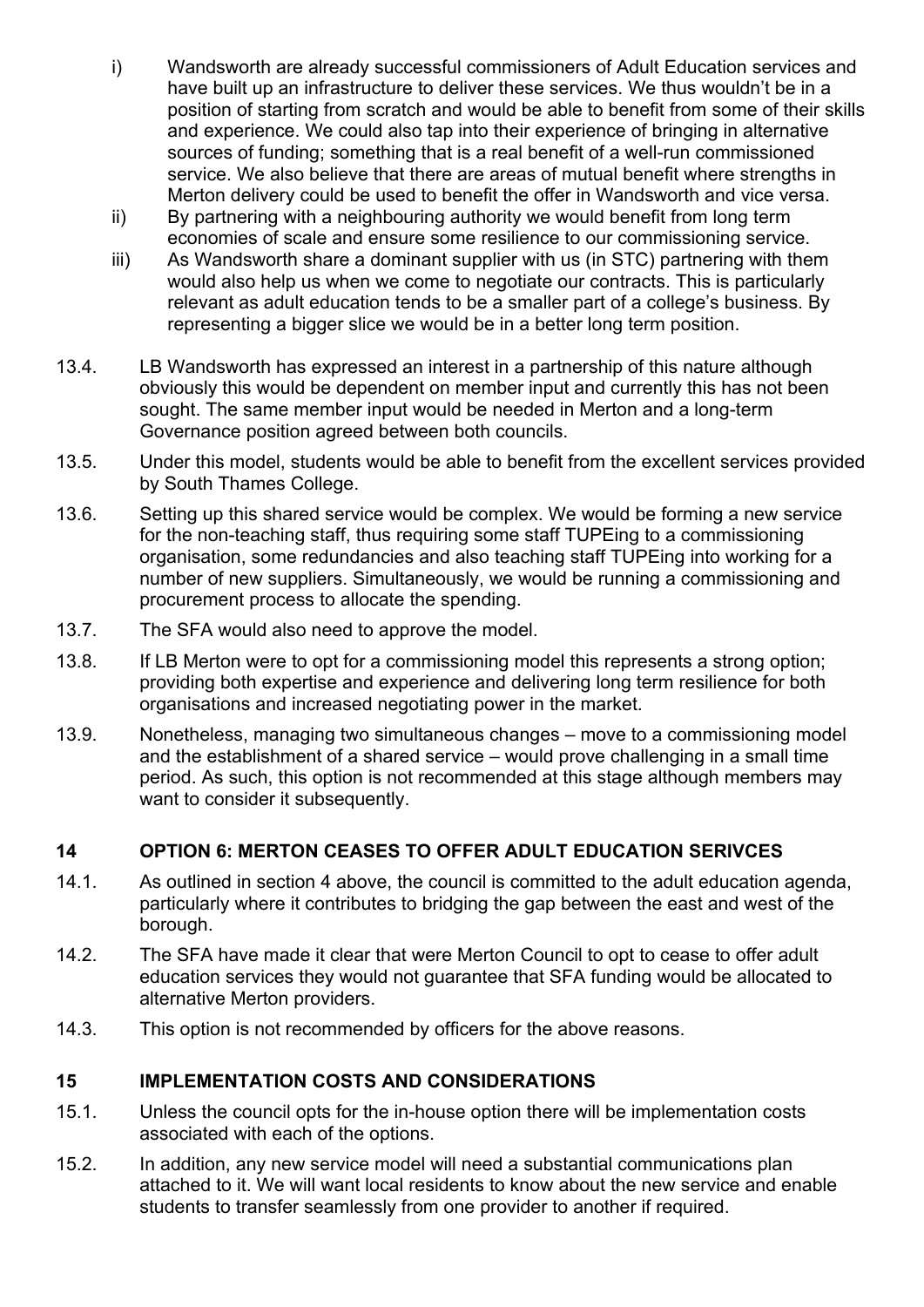- i) Wandsworth are already successful commissioners of Adult Education services and have built up an infrastructure to deliver these services. We thus wouldn't be in a position of starting from scratch and would be able to benefit from some of their skills and experience. We could also tap into their experience of bringing in alternative sources of funding; something that is a real benefit of a well-run commissioned service. We also believe that there are areas of mutual benefit where strengths in Merton delivery could be used to benefit the offer in Wandsworth and vice versa.
- ii) By partnering with a neighbouring authority we would benefit from long term economies of scale and ensure some resilience to our commissioning service.
- iii) As Wandsworth share a dominant supplier with us (in STC) partnering with them would also help us when we come to negotiate our contracts. This is particularly relevant as adult education tends to be a smaller part of a college's business. By representing a bigger slice we would be in a better long term position.
- 13.4. LB Wandsworth has expressed an interest in a partnership of this nature although obviously this would be dependent on member input and currently this has not been sought. The same member input would be needed in Merton and a long-term Governance position agreed between both councils.
- 13.5. Under this model, students would be able to benefit from the excellent services provided by South Thames College.
- 13.6. Setting up this shared service would be complex. We would be forming a new service for the non-teaching staff, thus requiring some staff TUPEing to a commissioning organisation, some redundancies and also teaching staff TUPEing into working for a number of new suppliers. Simultaneously, we would be running a commissioning and procurement process to allocate the spending.
- 13.7. The SFA would also need to approve the model.
- 13.8. If LB Merton were to opt for a commissioning model this represents a strong option; providing both expertise and experience and delivering long term resilience for both organisations and increased negotiating power in the market.
- 13.9. Nonetheless, managing two simultaneous changes move to a commissioning model and the establishment of a shared service – would prove challenging in a small time period. As such, this option is not recommended at this stage although members may want to consider it subsequently.

#### **14 OPTION 6: MERTON CEASES TO OFFER ADULT EDUCATION SERIVCES**

- 14.1. As outlined in section 4 above, the council is committed to the adult education agenda, particularly where it contributes to bridging the gap between the east and west of the borough.
- 14.2. The SFA have made it clear that were Merton Council to opt to cease to offer adult education services they would not guarantee that SFA funding would be allocated to alternative Merton providers.
- 14.3. This option is not recommended by officers for the above reasons.

# **15 IMPLEMENTATION COSTS AND CONSIDERATIONS**

- 15.1. Unless the council opts for the in-house option there will be implementation costs associated with each of the options.
- 15.2. In addition, any new service model will need a substantial communications plan attached to it. We will want local residents to know about the new service and enable students to transfer seamlessly from one provider to another if required.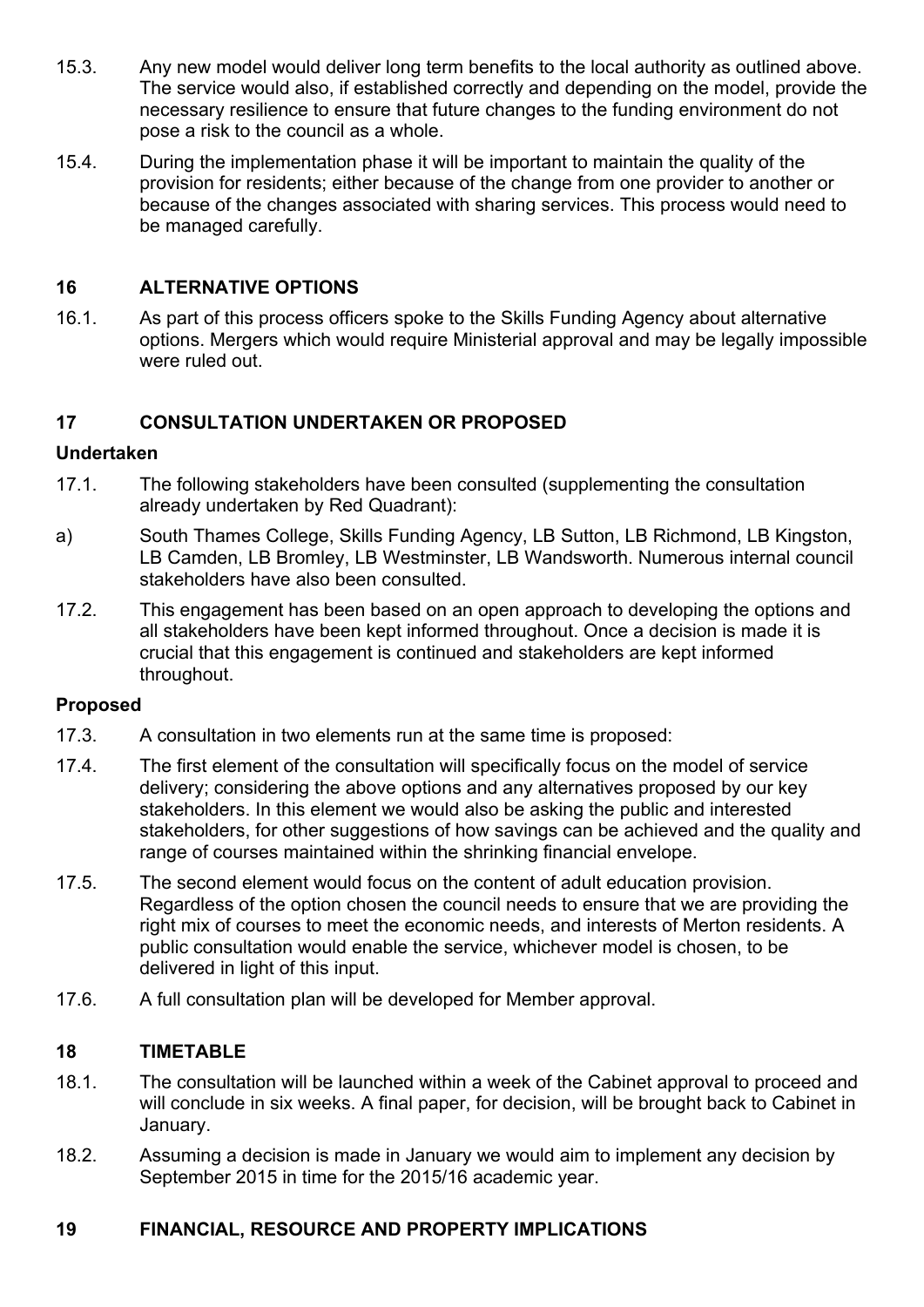- 15.3. Any new model would deliver long term benefits to the local authority as outlined above. The service would also, if established correctly and depending on the model, provide the necessary resilience to ensure that future changes to the funding environment do not pose a risk to the council as a whole.
- 15.4. During the implementation phase it will be important to maintain the quality of the provision for residents; either because of the change from one provider to another or because of the changes associated with sharing services. This process would need to be managed carefully.

## **16 ALTERNATIVE OPTIONS**

16.1. As part of this process officers spoke to the Skills Funding Agency about alternative options. Mergers which would require Ministerial approval and may be legally impossible were ruled out.

## **17 CONSULTATION UNDERTAKEN OR PROPOSED**

#### **Undertaken**

- 17.1. The following stakeholders have been consulted (supplementing the consultation already undertaken by Red Quadrant):
- a) South Thames College, Skills Funding Agency, LB Sutton, LB Richmond, LB Kingston, LB Camden, LB Bromley, LB Westminster, LB Wandsworth. Numerous internal council stakeholders have also been consulted.
- 17.2. This engagement has been based on an open approach to developing the options and all stakeholders have been kept informed throughout. Once a decision is made it is crucial that this engagement is continued and stakeholders are kept informed throughout.

#### **Proposed**

- 17.3. A consultation in two elements run at the same time is proposed:
- 17.4. The first element of the consultation will specifically focus on the model of service delivery; considering the above options and any alternatives proposed by our key stakeholders. In this element we would also be asking the public and interested stakeholders, for other suggestions of how savings can be achieved and the quality and range of courses maintained within the shrinking financial envelope.
- 17.5. The second element would focus on the content of adult education provision. Regardless of the option chosen the council needs to ensure that we are providing the right mix of courses to meet the economic needs, and interests of Merton residents. A public consultation would enable the service, whichever model is chosen, to be delivered in light of this input.
- 17.6. A full consultation plan will be developed for Member approval.

#### **18 TIMETABLE**

- 18.1. The consultation will be launched within a week of the Cabinet approval to proceed and will conclude in six weeks. A final paper, for decision, will be brought back to Cabinet in January.
- 18.2. Assuming a decision is made in January we would aim to implement any decision by September 2015 in time for the 2015/16 academic year.

#### **19 FINANCIAL, RESOURCE AND PROPERTY IMPLICATIONS**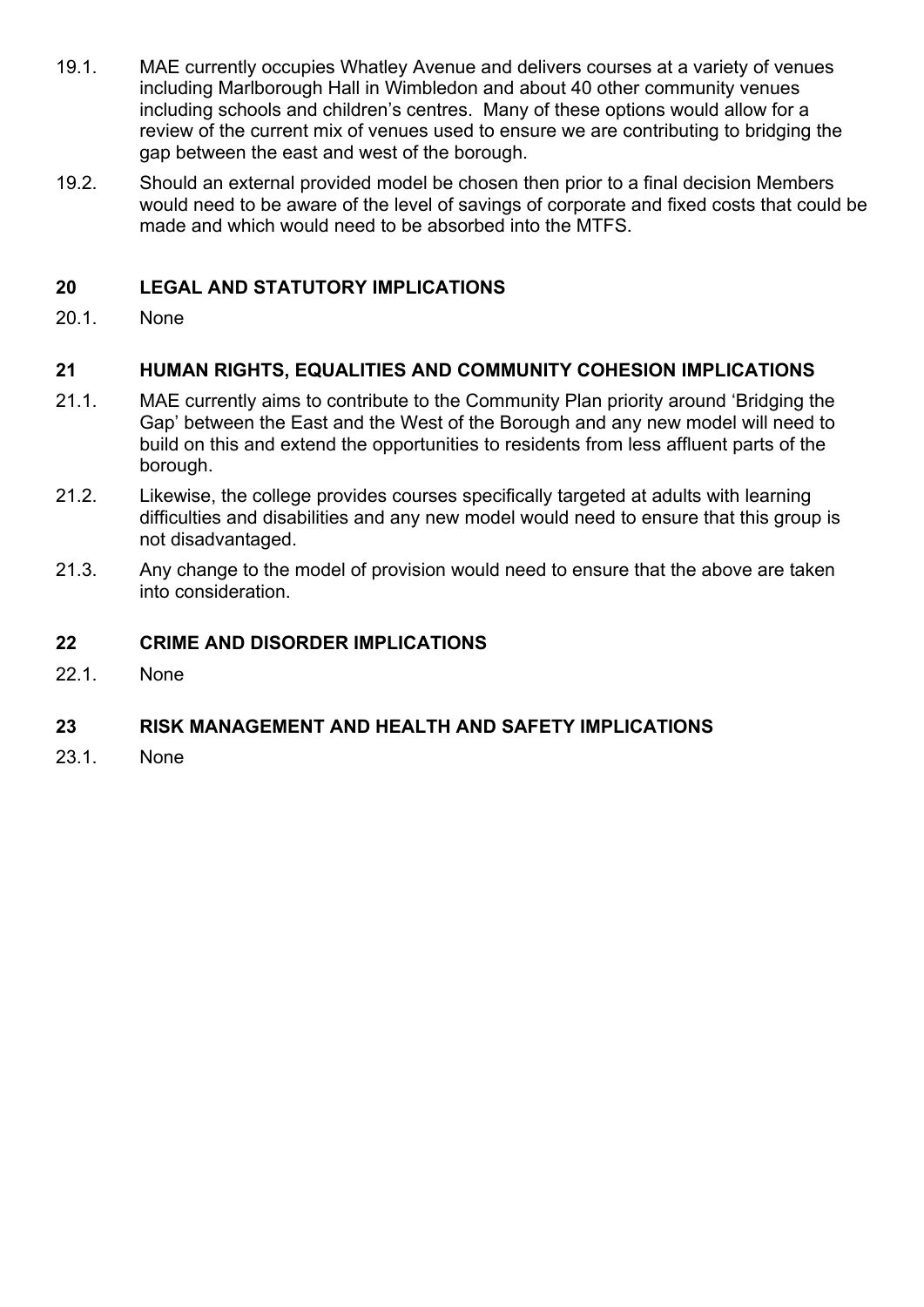- 19.1. MAE currently occupies Whatley Avenue and delivers courses at a variety of venues including Marlborough Hall in Wimbledon and about 40 other community venues including schools and children's centres. Many of these options would allow for a review of the current mix of venues used to ensure we are contributing to bridging the gap between the east and west of the borough.
- 19.2. Should an external provided model be chosen then prior to a final decision Members would need to be aware of the level of savings of corporate and fixed costs that could be made and which would need to be absorbed into the MTFS.

## **20 LEGAL AND STATUTORY IMPLICATIONS**

20.1. None

## **21 HUMAN RIGHTS, EQUALITIES AND COMMUNITY COHESION IMPLICATIONS**

- 21.1. MAE currently aims to contribute to the Community Plan priority around 'Bridging the Gap' between the East and the West of the Borough and any new model will need to build on this and extend the opportunities to residents from less affluent parts of the borough.
- 21.2. Likewise, the college provides courses specifically targeted at adults with learning difficulties and disabilities and any new model would need to ensure that this group is not disadvantaged.
- 21.3. Any change to the model of provision would need to ensure that the above are taken into consideration.

#### **22 CRIME AND DISORDER IMPLICATIONS**

22.1. None

#### **23 RISK MANAGEMENT AND HEALTH AND SAFETY IMPLICATIONS**

23.1. None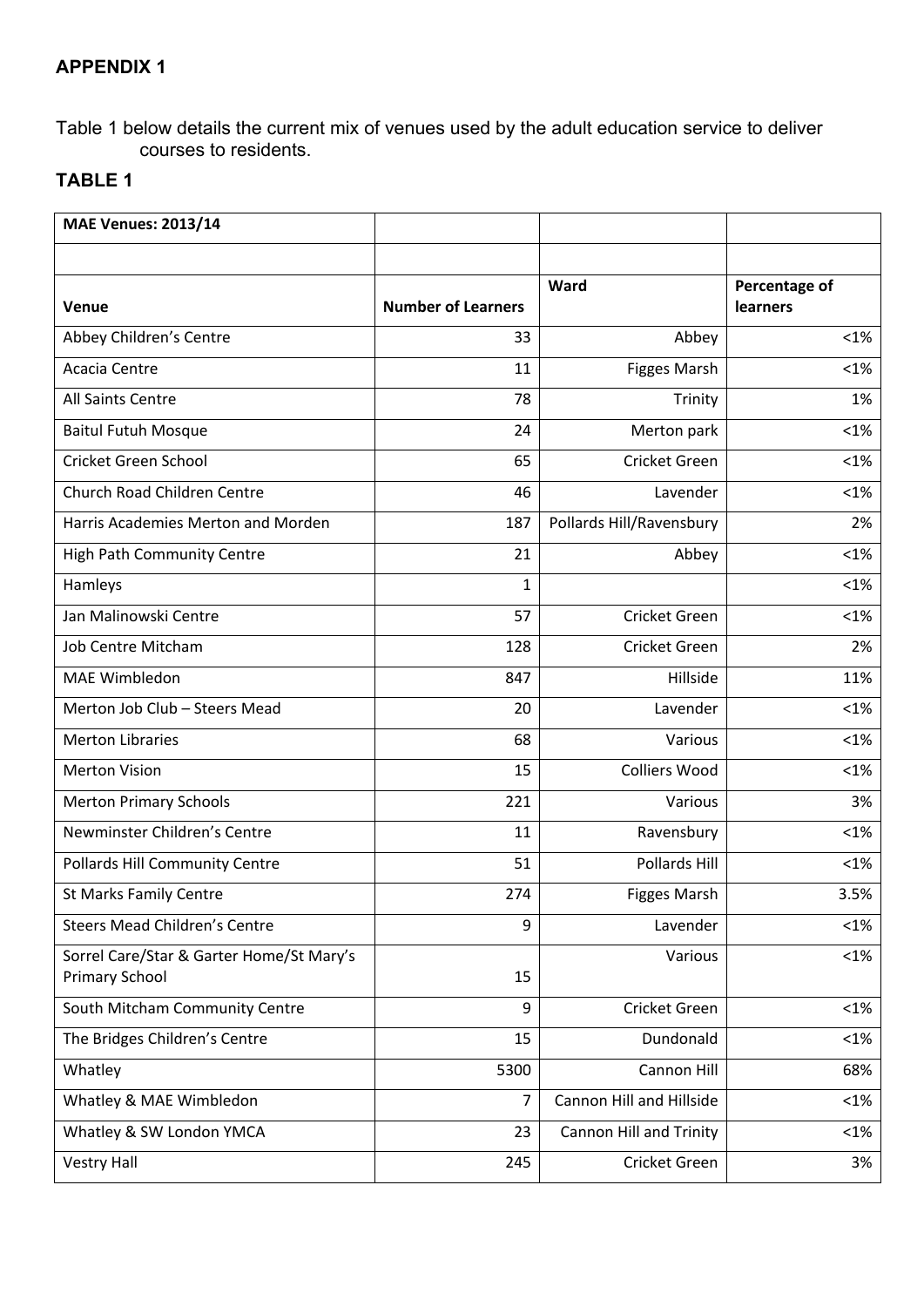# **APPENDIX 1**

Table 1 below details the current mix of venues used by the adult education service to deliver courses to residents.

# **TABLE 1**

| <b>MAE Venues: 2013/14</b>                                        |                           |                          |                                  |
|-------------------------------------------------------------------|---------------------------|--------------------------|----------------------------------|
|                                                                   |                           |                          |                                  |
| Venue                                                             | <b>Number of Learners</b> | Ward                     | Percentage of<br><b>learners</b> |
| Abbey Children's Centre                                           | 33                        | Abbey                    | $< 1\%$                          |
| Acacia Centre                                                     | 11                        |                          | $< 1\%$                          |
|                                                                   |                           | <b>Figges Marsh</b>      |                                  |
| All Saints Centre                                                 | 78                        | Trinity                  | 1%                               |
| <b>Baitul Futuh Mosque</b>                                        | 24                        | Merton park              | $< 1\%$                          |
| Cricket Green School                                              | 65                        | Cricket Green            | $< 1\%$                          |
| Church Road Children Centre                                       | 46                        | Lavender                 | $< 1\%$                          |
| Harris Academies Merton and Morden                                | 187                       | Pollards Hill/Ravensbury | 2%                               |
| High Path Community Centre                                        | 21                        | Abbey                    | $< 1\%$                          |
| Hamleys                                                           | $\mathbf{1}$              |                          | $< 1\%$                          |
| Jan Malinowski Centre                                             | 57                        | Cricket Green            | $< 1\%$                          |
| <b>Job Centre Mitcham</b>                                         | 128                       | Cricket Green            | 2%                               |
| <b>MAE Wimbledon</b>                                              | 847                       | Hillside                 | 11%                              |
| Merton Job Club - Steers Mead                                     | 20                        | Lavender                 | $< 1\%$                          |
| <b>Merton Libraries</b>                                           | 68                        | Various                  | $< 1\%$                          |
| <b>Merton Vision</b>                                              | 15                        | <b>Colliers Wood</b>     | $<1\%$                           |
| <b>Merton Primary Schools</b>                                     | 221                       | Various                  | 3%                               |
| Newminster Children's Centre                                      | 11                        | Ravensbury               | $<1\%$                           |
| Pollards Hill Community Centre                                    | 51                        | Pollards Hill            | $< 1\%$                          |
| <b>St Marks Family Centre</b>                                     | 274                       | <b>Figges Marsh</b>      | 3.5%                             |
| <b>Steers Mead Children's Centre</b>                              | 9                         | Lavender                 | $< 1\%$                          |
| Sorrel Care/Star & Garter Home/St Mary's<br><b>Primary School</b> | 15                        | Various                  | $<$ 1%                           |
| South Mitcham Community Centre                                    | 9                         | Cricket Green            | $< 1\%$                          |
| The Bridges Children's Centre                                     | 15                        | Dundonald                | $< 1\%$                          |
| Whatley                                                           | 5300                      | Cannon Hill              | 68%                              |
| Whatley & MAE Wimbledon                                           | 7                         | Cannon Hill and Hillside | $< 1\%$                          |
| Whatley & SW London YMCA                                          | 23                        | Cannon Hill and Trinity  | $< 1\%$                          |
| <b>Vestry Hall</b>                                                | 245                       | Cricket Green            | 3%                               |